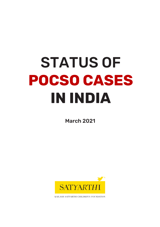# STATUS OF **POCSO CASES IN INDIA**

March 2021



KAILASH SATYARTHI CHILDREN'S FOUNDATION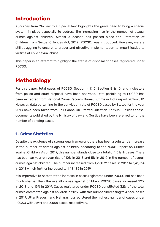# **Introduction**

A journey from 'No' law to a 'Special law' highlights the grave need to bring a special system in place especially to address the increasing rise in the number of sexual crimes against children. Almost a decade has passed since the Protection of Children from Sexual Offences Act, 2012 (POCSO) was introduced. However, we are still struggling to ensure its proper and effective implementation to impart justice to victims of child sexual abuse.

This paper is an attempt to highlight the status of disposal of cases registered under POCSO.

# **Methodology**

For this paper, total cases of POCSO, Section 4 & 6, Section 8 & 10, and indicators from police and court disposal have been analysed. Data pertaining to POCSO has been extracted from National Crime Records Bureau, Crime in India report 2017-2019. However, data pertaining to the conviction rate of POCSO cases by States for the year 2018 have been taken from Lok Sabha Un-Starred Question No.2627. Besides these, documents published by the Ministry of Law and Justice have been referred to for the number of pending cases.

## **1. Crime Statistics**

Despite the existence of a strong legal framework, there has been a substantial increase in the number of crimes against children, according to the NCRB Report on Crimes against Children. As on 2019, this number stands close to a total of 1.5 lakh cases. There has been an year-on year rise of 10% in 2018 and 5% in 2019 in the number of overall crimes against children. The number increased from 1,29,032 cases in 2017 to 1,41,764 in 2018 which further increased to 1,48,185 in 2019.

It is imperative to note that the increase in cases registered under POCSO Act has been much sharper than the overall crimes against children. POCSO cases increased 22% in 2018 and 19% in 2019. Cases registered under POCSO constituted 32% of the total crimes committed against children in 2019, with this number increasing to 47,335 cases in 2019. Uttar Pradesh and Maharashtra registered the highest number of cases under POCSO with 7,594 and 6,558 cases, respectively.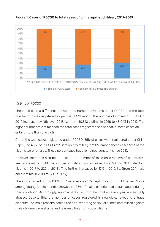

#### Figure 1: Cases of POCSO to total cases of crime against children, 2017-2019

#### *Victims* of POCSO

There has been a difference between the number of victims under POCSO and the total number of cases registered as per the NCRB report. The number of victims of POCSO in 2019 increased by 18% over 2018. i.e. from 40,810 victims in 2018 to 48,043 in 2019. The higher number of victims than the total cases registered shows that in some cases an FIR entails more than one victim.

Out of the total cases registered under POCSO, 55% of cases were registered under Child Rape (Sec 4 & 6 of POCSO Act/ Section 376 of IPC) in 2019, among these cases 99% of the victims were females. These percentages have remained constant since 2017.

However, there has also been a rise in the number of male child victims of penetrative sexual assault. In 2018, the number of male victims increased by 25% (from 183 male child victims in2017 to 229 in 2018). This further increased by 17% in 2019. i.e. (from 229 male child victims in 2018 to 268 in 2019).

The study carried out by KSCF on Awareness and Perceptions about Child Sexual Abuse among Young Adults in India shows that 25% of males experienced sexual abuse during their childhood. Accordingly, approximately 5.8 Cr male children every year are sexually abused. Despite this, the number of cases registered is negligible, reflecting a huge disparity. The main reasons behind the non-reporting of sexual crimes committed against male children were shame and fear resulting from social stigma.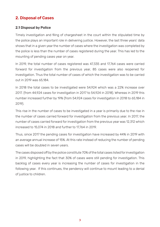## 2. Disposal of Cases

#### 2.1 Disposal by Police

Timely investigation and filing of chargesheet in the court within the stipulated time by the police plays an important role in delivering justice. However, the last three years' data shows that in a given year the number of cases where the investigation was completed by the police is less than the number of cases registered during the year. This has led to the mounting of pending cases year on year.

In 2019, the total number of cases registered was 47,335 and 17,764 cases were carried forward for investigation from the previous year, 85 cases were also reopened for investigation. Thus the total number of cases of which the investigation was to be carried out in 2019 was 65,184.

In 2018 the total cases to be investigated were 54,924 which was a 22% increase over 2017. (from 44,924 cases for investigation in 2017 to 54,924 in 2018). Whereas in 2019 this number increased further by 19% (from 54,924 cases for investigation in 2018 to 65,184 in 2019).

This rise in the number of cases to be investigated in a year is primarily due to the rise in the number of cases carried forward for investigation from the previous year. In 2017, the number of cases carried forward for investigation from the previous year was 12,312 which increased to 15,074 in 2018 and further to 17,764 in 2019.

Thus, since 2017 the pending cases for investigation have increased by 44% in 2019 with an average annual increase of 15%. At this rate instead of reducing the number of pending cases will be doubled in seven years.

The cases disposed off by the police constitute 70% of the total cases listed for investigation in 2019, highlighting the fact that 30% of cases were still pending for investigation. This backlog of cases every year is increasing the number of cases for investigation in the following year. If this continues, the pendency will continue to mount leading to a denial of justice to children.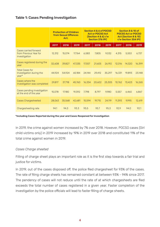#### Table 1: Cases Pending Investigation

|                                                                  | <b>Protection of Children</b><br>from Sexual Offences<br>Act. |        |        | Section 4 & 6 of POCSO<br><b>Act or POCSO Act</b><br>(Section 4 & 6) r/w<br><b>Section 376 IPC</b> |        |        | Section 8 & 10 of<br><b>POCSO Act or POCSO</b><br>Act (Section 8 & 10)<br>r/w Section 354 IPC |        |        |
|------------------------------------------------------------------|---------------------------------------------------------------|--------|--------|----------------------------------------------------------------------------------------------------|--------|--------|-----------------------------------------------------------------------------------------------|--------|--------|
|                                                                  | 2017                                                          | 2018   | 2019   | 2017                                                                                               | 2018   | 2019   | 2017                                                                                          | 2018   | 2019   |
| Cases carried forward<br>from Previous Year for<br>investigation | 12.312                                                        | 15.074 | 17.764 | 6,583                                                                                              | 7.805  | 9.032  | 4.315                                                                                         | 5.553  | 6,737  |
| Cases registered during the<br>year                              | 32,608                                                        | 39.827 | 47.335 | 17.557                                                                                             | 21.605 | 26.192 | 12.016                                                                                        | 14.320 | 16,399 |
| <b>Total Cases for</b><br>Investigation during the<br>year*      | 44.924                                                        | 54,924 | 65.184 | 24.144                                                                                             | 29.412 | 35.297 | 16.331                                                                                        | 19.893 | 23,148 |
| Cases where the<br>investigation was completed                   | 29.817                                                        | 37.718 | 45.760 | 16.334                                                                                             | 20.602 | 25,305 | 10.762                                                                                        | 13.423 | 16.265 |
| Cases pending investigation<br>at the end of the year            | 15.078                                                        | 17.180 | 19.392 | 7.798                                                                                              | 8.797  | 9.980  | 5.557                                                                                         | 6.460  | 6.867  |
| <b>Cases Chargesheeted</b>                                       | 28,063                                                        | 35.568 | 42.681 | 15,594                                                                                             | 19.715 | 24,119 | 11.393                                                                                        | 9.995  | 12,619 |
| Chargesheeting rate                                              | 94.1                                                          | 94.3   | 93.3   | 95.5                                                                                               | 95.7   | 95.3   | 92.9                                                                                          | 94.0   | 92.1   |

\*Including Cases Reported during the year and Cases Reopened for Investigation

In 2019, the crime against women increased by 7% over 2018. However, POCSO cases (Girl child victims only) in 2019 increased by 19% in 2019 over 2018 and constituted 11% of the total crime against women in 2019.

#### *Cases Charge sheeted*

Filling of charge sheet plays an important role as it is the first step towards a fair trial and justice for victims.

In 2019, out of the cases disposed off, the police filed chargesheet for 93% of the cases. The rate of filing charge sheets has remained constant at between 93% - 94% since 2017. The pendency of cases will not reduce until the rate of at which chargesheets are filed exceeds the total number of cases registered in a given year. Faster completion of the investigation by the police officials will lead to faster filling of charge sheets.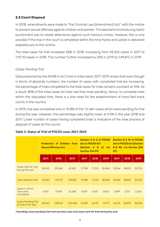#### **2.2 Court Disposal**

In 2018, amendments were made to "the Criminal Law (Amendment) Act," with the motive to prevent sexual offenses against children and women. The idea behind introducing harsh punishment was to create deterrence against such heinous crimes. However, this is only possible if the trial in the court is completed within the time frame and justice is delivered expeditiously to the victims.

The total cases for trial increased 28% in 2018, increasing from 93,423 cases in 2017 to 1,19,710 cases in 2018. This number further increased by 25% in 2019 to 1,49,872 in 2019.

#### *Cases Pending Trial*

Data presented by the NCRB in its Crime in India report 2017-2019 shows that even though in terms of absolute numbers, the number of cases with completed trial are increasing, the percentage of trials completed to the total cases for trials remains constant at 10%. As a result, 89% of the total cases for trials had their trials pending. Hence, to complete trials within the stipulated time, there is a dire need for the establishment of more fast-track courts in the country.

In 2019, trial was completed only in 10.8% of the 1.5 lakh cases which were pending for trial during the year. However, this percentage was slightly lower at 9.4% in the year 2018 and 2017. Lower number of cases having completed trials is indicative of the slow process of disposal of cases by the courts.

|                                                   | <b>Protection of Children from</b><br><b>Sexual Offences Act.</b> |          |          | (Section 4 &<br><b>Section 376 IPC</b> | Section 4 & 6 of POCSO<br><b>Act or POCSO Act</b> | $6)$ r/w | Section 8 & 10 of POCSO<br><b>Act or POCSO Act (Section</b><br>8 & 10) r/w Section 354<br><b>IPC</b> |        |        |
|---------------------------------------------------|-------------------------------------------------------------------|----------|----------|----------------------------------------|---------------------------------------------------|----------|------------------------------------------------------------------------------------------------------|--------|--------|
|                                                   | 2017                                                              | 2018     | 2019     | 2017                                   | 2018                                              | 2019     | 2017                                                                                                 | 2018   | 2019   |
| <b>Cases Sent for Trial</b><br>during the year    | 28,063                                                            | 35,568   | 42,681   | 57,138                                 | 71,222                                            | 86,860   | 29,266                                                                                               | 38,810 | 50,725 |
| Total cases for trial*                            | 93,423                                                            | 1.19.710 | 1,49,872 | 57.138                                 | 71.222                                            | 86,860   | 29,266                                                                                               | 38,810 | 50,725 |
| Cases in which<br><b>Trials were</b><br>Completed | 9,097                                                             | 11,345   | 16,238   | 5,575                                  | 6,937                                             | 9.926    | 2,989                                                                                                | 3,701  | 5,366  |
| <b>Cases Pending Trial</b><br>at End of the Year  | 84,143                                                            | 1,08,129 | 1,33,068 | 51,499                                 | 64,191                                            | 76,771   | 26,175                                                                                               | 34,990 | 45,020 |

#### **Table 2: Status of Trial of POCSO cases 2017-2019**

\*Including cases pending trial from previous year and cases sent for trial during the year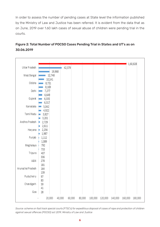In order to assess the number of pending cases at State level the information published by the Ministry of Law and Justice has been referred. It is evident from the data that as on June, 2019 over 1.60 lakh cases of sexual abuse of children were pending trial in the courts.



### Figure 2: Total Number of POCSO Cases Pending Trial in States and UT's as on 30.06.2019

*Source: scheme on fast track special courts (FTSC's) for expeditious disposal of cases of rape and protection of children against sexual offences (POCSO) act 2019, Ministry of Law and Justice*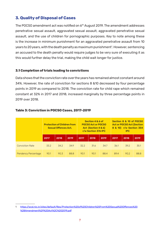## **3. Quality of Disposal of Cases**

The POCSO amendment act was notified on  $6<sup>th</sup>$  August 2019. The amendment addresses penetrative sexual assault, aggravated sexual assault, aggravated penetrative sexual assault, and the use of children for pornographic purposes. Key to note among these is the increase in minimum punishment for an aggravated penetrative assault from 10 years to 20 years, with the death penalty as maximum punishment<sup>1</sup>. However, sentencing an accused to the death penalty would require judges to be very sure of executing it as this would further delay the trial, making the child wait longer for justice.

#### **3.1 Completion of trials leading to convictions**

Data shows that the conviction rate over the years has remained almost constant around 34%. However, the rate of conviction for sections 8 &10 decreased by four percentage points in 2019 as compared to 2018. The conviction rate for child rape which remained constant at 32% in 2017 and 2018, increased marginally by three percentage points in 2019 over 2018.

|                            | <b>Protection of Children from</b><br><b>Sexual Offences Act.</b> |      |      |      | Section 4 & 6 of<br><b>POCSO Act or POCSO</b><br>Act (Section 4 & 6)<br>r/w Section 376 IPC |      | Section 8 & 10 of POCSO<br><b>Act or POCSO Act (Section</b><br>8 & 10) r/w Section 354<br><b>IPC</b> |      |      |
|----------------------------|-------------------------------------------------------------------|------|------|------|---------------------------------------------------------------------------------------------|------|------------------------------------------------------------------------------------------------------|------|------|
|                            | 2017                                                              | 2018 | 2019 | 2017 | 2018                                                                                        | 2019 | 2017                                                                                                 | 2018 | 2019 |
| <b>Conviction Rate</b>     | 33.2                                                              | 34.2 | 34.9 | 32.2 | 31.6                                                                                        | 34.7 | 36.1                                                                                                 | 39.2 | 35.1 |
| <b>Pendency Percentage</b> | 90.1                                                              | 90.3 | 88.8 | 90.1 | 90.1                                                                                        | 88.4 | 89.4                                                                                                 | 90.2 | 88.8 |

#### **Table 3: Conviction in POCSO Cases, 2017-2019**

<sup>1</sup> https://wcd.nic.in/sites/default/files/Protection%20of%20Children%20From%20Sexual%20Offences%20 %28Amendment%29%20Act%2C%202019.pdf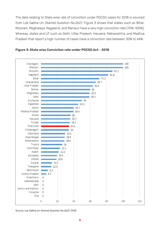The data relating to State wise rate of conviction under POCSO cases for 2018 is sourced from Lok Sabha Un-Starred Question No.2627. Figure 3 shows that states such as Bihar, Mizoram, Meghalaya, Nagaland, and Manipur have a very high conviction rate (70%-100%). Whereas, states and UT such as Delhi, Uttar Pradesh, Haryana, Maharashtra, and Madhya Pradesh that report a high number of cases have a conviction rate between 30% to 64%.





Source: Lok Sabha Un-Starred Question No.2627, 2018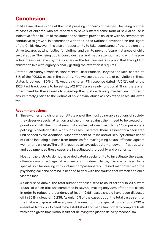# **Conclusion**

Child sexual abuse is one of the most pressing concerns of the day. The rising number of cases of children who are reported to have suffered some form of sexual abuse is indicative of the failure of the state and society to provide children with an environment conducive to growth, in accordance with the United Nations Convention on the Rights of the Child. However, it is also an opportunity to take cognizance of the problem and strive towards getting justice for victims, and aim to prevent future instances of child sexual abuse. The rising public consciousness and media attention, along with the proactive measures taken by the judiciary in the last few years is proof that the right of children to live with dignity is finally getting the attention it requires.

States such Madhya Pradesh, Maharashtra, Uttar Pradesh, Haryana and Delhi constitute 51% of the POCSO cases in the country. Yet, we see that the rate of conviction in these states is between 30%-64%. According to an RTI response dated 19/2/21, out of the 1023 Fast track courts to be set up, 612 FTC's are already functional. Thus, there is an urgent need for these courts to speed up their justice delivery mechanism in order to ensure timely justice to the victims of child sexual abuse as 89% of the cases still await trial.

#### **Recommendations:**

1. Since women and children constitute one of the most vulnerable sections of society, they deserve special attention and the crimes against them need to be treated on priority and with the utmost sensitivity. Instead of 'coercive policing', 'compassionate policing' is needed to deal with such cases. Therefore, there is a need for a dedicated unit headed by the Additional Superintendent of Police and/or Deputy Commissioner of Police including experts from forensics for investigating sexual offences against women and children. The unit is required to have adequate manpower, infrastructure, and equipment so these cases are investigated thoroughly and on priority.

Most of the districts do not have dedicated special units to investigate the sexual offence committed against women and children. Hence, there is a need for a special unit for dealing with victims compassionately. Trained manpower with the psychological bend of mind is needed to deal with the trauma that women and child victims face.

2. As discussed above, the total number of cases sent to court for trial in 2019 were 42,681 of which trial was completed in 16,238 , making only 38% of the total cases. In order to reduce the pendency at least 42,681 cases should have been disposed off in 2019 instead of 16,238. As only 10% of the cases out of the total cases sent for the trial are disposed off every year, the need for more special courts for POCSO is essential. More courts need to be established and made functional to complete trials within the given time without further delaying the justice delivery mechanism.